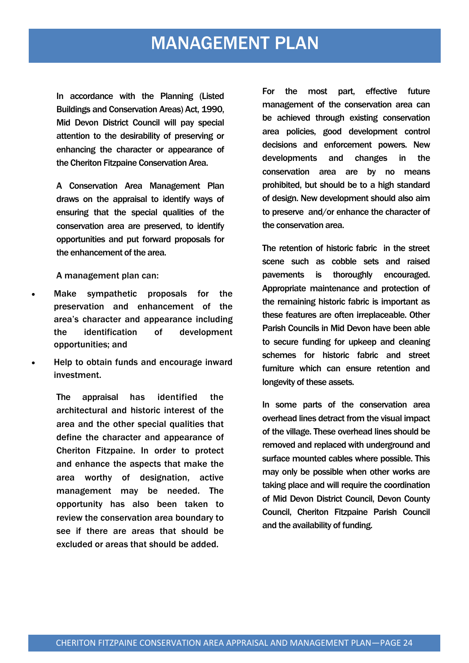#### MANAGEMENT PLAN

In accordance with the Planning (Listed Buildings and Conservation Areas) Act, 1990, Mid Devon District Council will pay special attention to the desirability of preserving or enhancing the character or appearance of the Cheriton Fitzpaine Conservation Area.

A Conservation Area Management Plan draws on the appraisal to identify ways of ensuring that the special qualities of the conservation area are preserved, to identify opportunities and put forward proposals for the enhancement of the area.

A management plan can:

- Make sympathetic proposals for the preservation and enhancement of the area's character and appearance including the identification of development opportunities; and
- Help to obtain funds and encourage inward investment.

The appraisal has identified the architectural and historic interest of the area and the other special qualities that define the character and appearance of Cheriton Fitzpaine. In order to protect and enhance the aspects that make the area worthy of designation, active management may be needed. The opportunity has also been taken to review the conservation area boundary to see if there are areas that should be excluded or areas that should be added.

For the most part, effective future management of the conservation area can be achieved through existing conservation area policies, good development control decisions and enforcement powers. New developments and changes in the conservation area are by no means prohibited, but should be to a high standard of design. New development should also aim to preserve and/or enhance the character of the conservation area.

The retention of historic fabric in the street scene such as cobble sets and raised pavements is thoroughly encouraged. Appropriate maintenance and protection of the remaining historic fabric is important as these features are often irreplaceable. Other Parish Councils in Mid Devon have been able to secure funding for upkeep and cleaning schemes for historic fabric and street furniture which can ensure retention and longevity of these assets.

In some parts of the conservation area overhead lines detract from the visual impact of the village. These overhead lines should be removed and replaced with underground and surface mounted cables where possible. This may only be possible when other works are taking place and will require the coordination of Mid Devon District Council, Devon County Council, Cheriton Fitzpaine Parish Council and the availability of funding.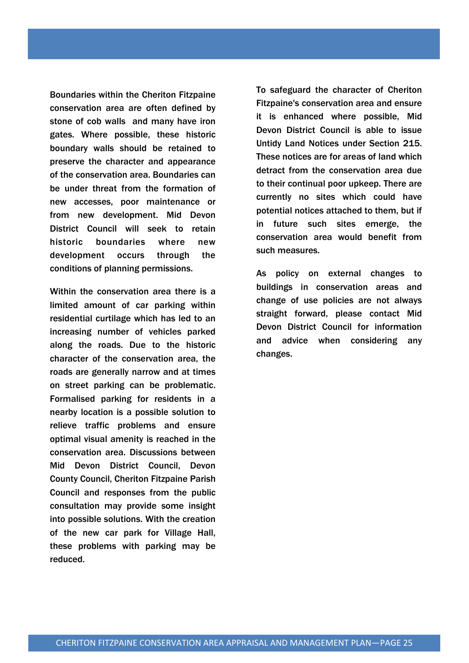Boundaries within the Cheriton Fitzpaine conservation area are often defined by stone of cob walls and many have iron gates. Where possible, these historic boundary walls should be retained to preserve the character and appearance of the conservation area. Boundaries can be under threat from the formation of new accesses, poor maintenance or from new development. Mid Devon District Council will seek to retain historic boundaries where new development occurs through the conditions of planning permissions.

Within the conservation area there is a limited amount of car parking within residential curtilage which has led to an increasing number of vehicles parked along the roads. Due to the historic character of the conservation area, the roads are generally narrow and at times on street parking can be problematic. Formalised parking for residents in a nearby location is a possible solution to relieve traffic problems and ensure optimal visual amenity is reached in the conservation area. Discussions between Mid Devon District Council, Devon County Council, Cheriton Fitzpaine Parish Council and responses from the public consultation may provide some insight into possible solutions. With the creation of the new car park for Village Hall, these problems with parking may be reduced.

To safeguard the character of Cheriton Fitzpaine's conservation area and ensure it is enhanced where possible, Mid Devon District Council is able to issue Untidy Land Notices under Section 215. These notices are for areas of land which detract from the conservation area due to their continual poor upkeep. There are currently no sites which could have potential notices attached to them, but if in future such sites emerge, the conservation area would benefit from such measures.

As policy on external changes to buildings in conservation areas and change of use policies are not always straight forward, please contact Mid Devon District Council for information and advice when considering any changes.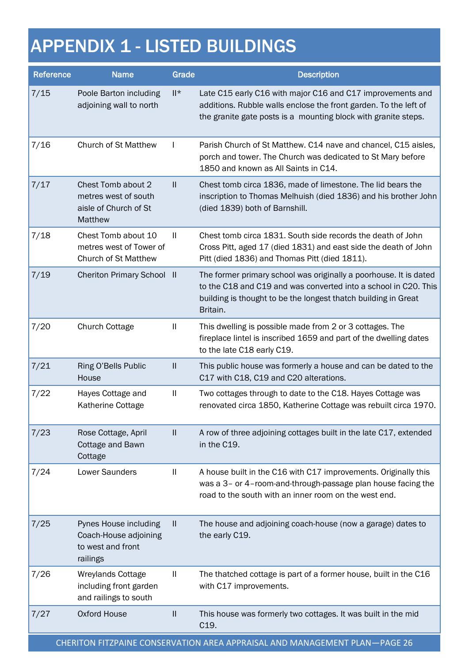# APPENDIX 1 - LISTED BUILDINGS

| Reference                                                                  | <b>Name</b>                                                                     | Grade         | <b>Description</b>                                                                                                                                                                                                 |  |  |  |
|----------------------------------------------------------------------------|---------------------------------------------------------------------------------|---------------|--------------------------------------------------------------------------------------------------------------------------------------------------------------------------------------------------------------------|--|--|--|
| 7/15                                                                       | Poole Barton including<br>adjoining wall to north                               | ∥*            | Late C15 early C16 with major C16 and C17 improvements and<br>additions. Rubble walls enclose the front garden. To the left of<br>the granite gate posts is a mounting block with granite steps.                   |  |  |  |
| 7/16                                                                       | <b>Church of St Matthew</b>                                                     | $\mathbf{I}$  | Parish Church of St Matthew. C14 nave and chancel, C15 aisles,<br>porch and tower. The Church was dedicated to St Mary before<br>1850 and known as All Saints in C14.                                              |  |  |  |
| 7/17                                                                       | Chest Tomb about 2<br>metres west of south<br>aisle of Church of St<br>Matthew  | $\mathbf{II}$ | Chest tomb circa 1836, made of limestone. The lid bears the<br>inscription to Thomas Melhuish (died 1836) and his brother John<br>(died 1839) both of Barnshill.                                                   |  |  |  |
| 7/18                                                                       | Chest Tomb about 10<br>metres west of Tower of<br><b>Church of St Matthew</b>   | -II           | Chest tomb circa 1831. South side records the death of John<br>Cross Pitt, aged 17 (died 1831) and east side the death of John<br>Pitt (died 1836) and Thomas Pitt (died 1811).                                    |  |  |  |
| 7/19                                                                       | <b>Cheriton Primary School II</b>                                               |               | The former primary school was originally a poorhouse. It is dated<br>to the C18 and C19 and was converted into a school in C20. This<br>building is thought to be the longest thatch building in Great<br>Britain. |  |  |  |
| 7/20                                                                       | <b>Church Cottage</b>                                                           | $\mathbf{I}$  | This dwelling is possible made from 2 or 3 cottages. The<br>fireplace lintel is inscribed 1659 and part of the dwelling dates<br>to the late C18 early C19.                                                        |  |  |  |
| 7/21                                                                       | Ring O'Bells Public<br>House                                                    | Ш             | This public house was formerly a house and can be dated to the<br>C17 with C18, C19 and C20 alterations.                                                                                                           |  |  |  |
| 7/22                                                                       | Hayes Cottage and<br>Katherine Cottage                                          | $\mathbf{I}$  | Two cottages through to date to the C18. Hayes Cottage was<br>renovated circa 1850, Katherine Cottage was rebuilt circa 1970.                                                                                      |  |  |  |
| 7/23                                                                       | Rose Cottage, April<br>Cottage and Bawn<br>Cottage                              | $\mathbf{H}$  | A row of three adjoining cottages built in the late C17, extended<br>in the C19.                                                                                                                                   |  |  |  |
| 7/24                                                                       | Lower Saunders                                                                  | $\mathbf{I}$  | A house built in the C16 with C17 improvements. Originally this<br>was a 3- or 4-room-and-through-passage plan house facing the<br>road to the south with an inner room on the west end.                           |  |  |  |
| 7/25                                                                       | Pynes House including<br>Coach-House adjoining<br>to west and front<br>railings | Ш             | The house and adjoining coach-house (now a garage) dates to<br>the early C19.                                                                                                                                      |  |  |  |
| 7/26                                                                       | <b>Wreylands Cottage</b><br>including front garden<br>and railings to south     | Ш             | The thatched cottage is part of a former house, built in the C16<br>with C17 improvements.                                                                                                                         |  |  |  |
| 7/27                                                                       | <b>Oxford House</b>                                                             | $\mathbf{II}$ | This house was formerly two cottages. It was built in the mid<br>C <sub>19</sub> .                                                                                                                                 |  |  |  |
| CHERITON FITZPAINE CONSERVATION AREA APPRAISAL AND MANAGEMENT PLAN-PAGE 26 |                                                                                 |               |                                                                                                                                                                                                                    |  |  |  |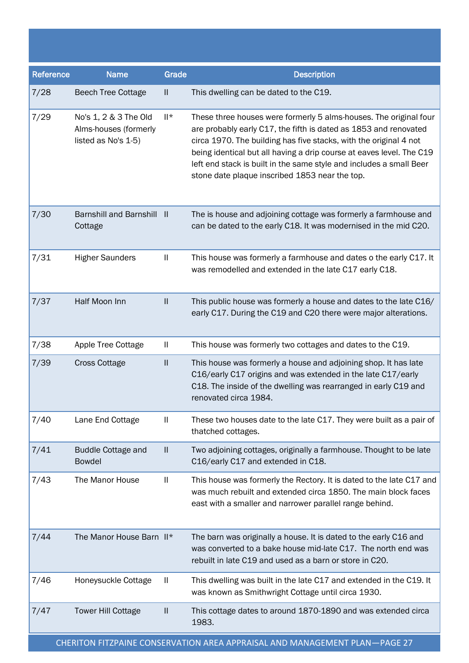| Reference | <b>Name</b>                                                           | Grade         | <b>Description</b>                                                                                                                                                                                                                                                                                                                                                                                          |
|-----------|-----------------------------------------------------------------------|---------------|-------------------------------------------------------------------------------------------------------------------------------------------------------------------------------------------------------------------------------------------------------------------------------------------------------------------------------------------------------------------------------------------------------------|
| 7/28      | <b>Beech Tree Cottage</b>                                             | $\mathbf{I}$  | This dwelling can be dated to the C19.                                                                                                                                                                                                                                                                                                                                                                      |
| 7/29      | No's 1, 2 & 3 The Old<br>Alms-houses (formerly<br>listed as No's 1-5) | $   *$        | These three houses were formerly 5 alms-houses. The original four<br>are probably early C17, the fifth is dated as 1853 and renovated<br>circa 1970. The building has five stacks, with the original 4 not<br>being identical but all having a drip course at eaves level. The C19<br>left end stack is built in the same style and includes a small Beer<br>stone date plaque inscribed 1853 near the top. |
| 7/30      | Barnshill and Barnshill II<br>Cottage                                 |               | The is house and adjoining cottage was formerly a farmhouse and<br>can be dated to the early C18. It was modernised in the mid C20.                                                                                                                                                                                                                                                                         |
| 7/31      | <b>Higher Saunders</b>                                                | Ш             | This house was formerly a farmhouse and dates o the early C17. It<br>was remodelled and extended in the late C17 early C18.                                                                                                                                                                                                                                                                                 |
| 7/37      | Half Moon Inn                                                         | $\mathbf{II}$ | This public house was formerly a house and dates to the late C16/<br>early C17. During the C19 and C20 there were major alterations.                                                                                                                                                                                                                                                                        |
| 7/38      | Apple Tree Cottage                                                    | Ш             | This house was formerly two cottages and dates to the C19.                                                                                                                                                                                                                                                                                                                                                  |
| 7/39      | <b>Cross Cottage</b>                                                  | $\mathbf{  }$ | This house was formerly a house and adjoining shop. It has late<br>C16/early C17 origins and was extended in the late C17/early<br>C18. The inside of the dwelling was rearranged in early C19 and<br>renovated circa 1984.                                                                                                                                                                                 |
| 7/40      | Lane End Cottage                                                      | Ш             | These two houses date to the late C17. They were built as a pair of<br>thatched cottages.                                                                                                                                                                                                                                                                                                                   |
| 7/41      | <b>Buddle Cottage and</b><br><b>Bowdel</b>                            | H.            | Two adjoining cottages, originally a farmhouse. Thought to be late<br>C16/early C17 and extended in C18.                                                                                                                                                                                                                                                                                                    |
| 7/43      | The Manor House                                                       | Ш             | This house was formerly the Rectory. It is dated to the late C17 and<br>was much rebuilt and extended circa 1850. The main block faces<br>east with a smaller and narrower parallel range behind.                                                                                                                                                                                                           |
| 7/44      | The Manor House Barn II*                                              |               | The barn was originally a house. It is dated to the early C16 and<br>was converted to a bake house mid-late C17. The north end was<br>rebuilt in late C19 and used as a barn or store in C20.                                                                                                                                                                                                               |
| 7/46      | Honeysuckle Cottage                                                   | Ш             | This dwelling was built in the late C17 and extended in the C19. It<br>was known as Smithwright Cottage until circa 1930.                                                                                                                                                                                                                                                                                   |
| 7/47      | <b>Tower Hill Cottage</b>                                             | Ш             | This cottage dates to around 1870-1890 and was extended circa<br>1983.                                                                                                                                                                                                                                                                                                                                      |

CHERITON FITZPAINE CONSERVATION AREA APPRAISAL AND MANAGEMENT PLAN—PAGE 27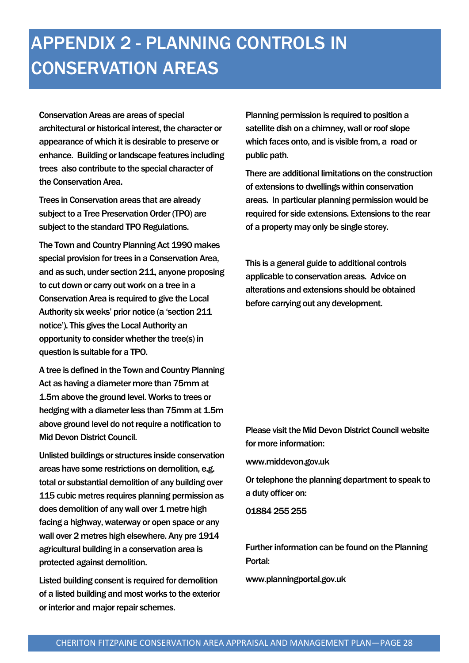## APPENDIX 2 - PLANNING CONTROLS IN CONSERVATION AREAS

Conservation Areas are areas of special architectural or historical interest, the character or appearance of which it is desirable to preserve or enhance. Building or landscape features including trees also contribute to the special character of the Conservation Area.

Trees in Conservation areas that are already subject to a Tree Preservation Order (TPO) are subject to the standard TPO Regulations.

The Town and Country Planning Act 1990 makes special provision for trees in a Conservation Area, and as such, under section 211, anyone proposing to cut down or carry out work on a tree in a Conservation Area is required to give the Local Authority six weeks' prior notice (a 'section 211 notice'). This gives the Local Authority an opportunity to consider whether the tree(s) in question is suitable for a TPO.

A tree is defined in the Town and Country Planning Act as having a diameter more than 75mm at 1.5m above the ground level. Works to trees or hedging with a diameter less than 75mm at 1.5m above ground level do not require a notification to Mid Devon District Council.

Unlisted buildings or structures inside conservation areas have some restrictions on demolition, e.g. total or substantial demolition of any building over 115 cubic metres requires planning permission as does demolition of any wall over 1 metre high facing a highway, waterway or open space or any wall over 2 metres high elsewhere. Any pre 1914 agricultural building in a conservation area is protected against demolition.

Listed building consent is required for demolition of a listed building and most works to the exterior or interior and major repair schemes.

Planning permission is required to position a satellite dish on a chimney, wall or roof slope which faces onto, and is visible from, a road or public path.

There are additional limitations on the construction of extensions to dwellings within conservation areas. In particular planning permission would be required for side extensions. Extensions to the rear of a property may only be single storey.

This is a general guide to additional controls applicable to conservation areas. Advice on alterations and extensions should be obtained before carrying out any development.

#### Please visit the Mid Devon District Council website for more information:

www.middevon.gov.uk

Or telephone the planning department to speak to a duty officer on:

01884 255 255

Further information can be found on the Planning Portal:

www.planningportal.gov.uk